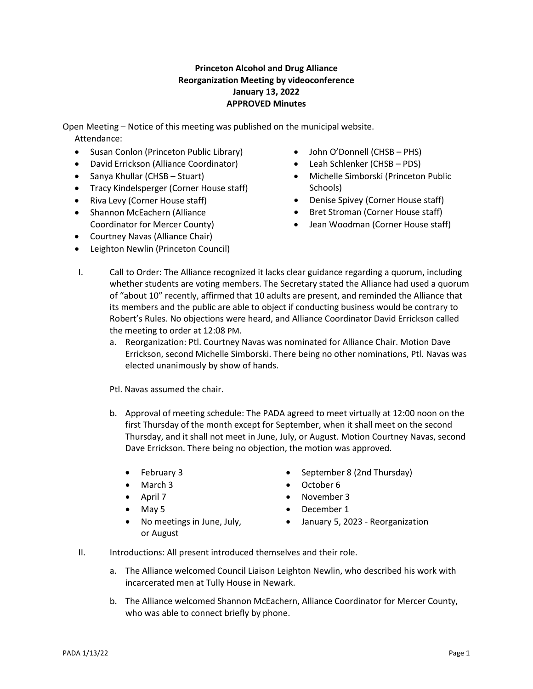## **Princeton Alcohol and Drug Alliance Reorganization Meeting by videoconference January 13, 2022 APPROVED Minutes**

Open Meeting – Notice of this meeting was published on the municipal website. Attendance:

- Susan Conlon (Princeton Public Library)
- David Errickson (Alliance Coordinator)
- Sanya Khullar (CHSB Stuart)
- Tracy Kindelsperger (Corner House staff)
- Riva Levy (Corner House staff)
- Shannon McEachern (Alliance Coordinator for Mercer County)
- Courtney Navas (Alliance Chair)
- Leighton Newlin (Princeton Council)
- John O'Donnell (CHSB PHS)
- Leah Schlenker (CHSB PDS)
- Michelle Simborski (Princeton Public Schools)
- Denise Spivey (Corner House staff)
- Bret Stroman (Corner House staff)
- Jean Woodman (Corner House staff)
- I. Call to Order: The Alliance recognized it lacks clear guidance regarding a quorum, including whether students are voting members. The Secretary stated the Alliance had used a quorum of "about 10" recently, affirmed that 10 adults are present, and reminded the Alliance that its members and the public are able to object if conducting business would be contrary to Robert's Rules. No objections were heard, and Alliance Coordinator David Errickson called the meeting to order at 12:08 PM.
	- a. Reorganization: Ptl. Courtney Navas was nominated for Alliance Chair. Motion Dave Errickson, second Michelle Simborski. There being no other nominations, Ptl. Navas was elected unanimously by show of hands.

Ptl. Navas assumed the chair.

- b. Approval of meeting schedule: The PADA agreed to meet virtually at 12:00 noon on the first Thursday of the month except for September, when it shall meet on the second Thursday, and it shall not meet in June, July, or August. Motion Courtney Navas, second Dave Errickson. There being no objection, the motion was approved.
	- February 3
	- March 3
	- April 7
	- May 5
	- No meetings in June, July, or August
- September 8 (2nd Thursday)
- October 6
- November 3
- December 1
- January 5, 2023 Reorganization
- II. Introductions: All present introduced themselves and their role.
	- a. The Alliance welcomed Council Liaison Leighton Newlin, who described his work with incarcerated men at Tully House in Newark.
	- b. The Alliance welcomed Shannon McEachern, Alliance Coordinator for Mercer County, who was able to connect briefly by phone.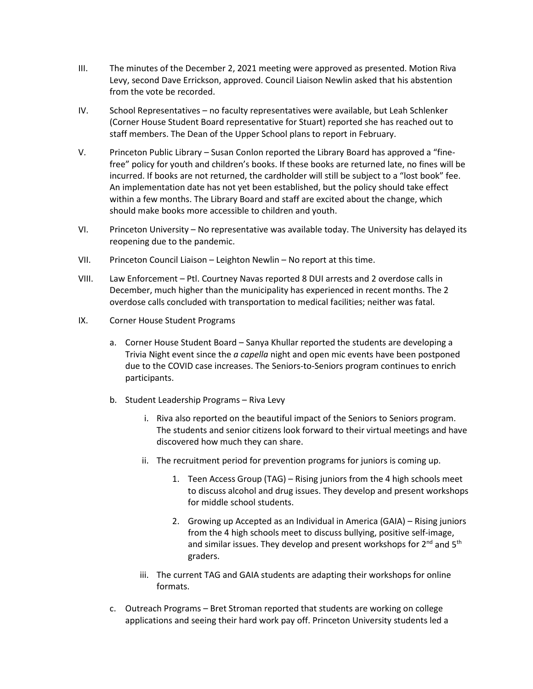- III. The minutes of the December 2, 2021 meeting were approved as presented. Motion Riva Levy, second Dave Errickson, approved. Council Liaison Newlin asked that his abstention from the vote be recorded.
- IV. School Representatives no faculty representatives were available, but Leah Schlenker (Corner House Student Board representative for Stuart) reported she has reached out to staff members. The Dean of the Upper School plans to report in February.
- V. Princeton Public Library Susan Conlon reported the Library Board has approved a "finefree" policy for youth and children's books. If these books are returned late, no fines will be incurred. If books are not returned, the cardholder will still be subject to a "lost book" fee. An implementation date has not yet been established, but the policy should take effect within a few months. The Library Board and staff are excited about the change, which should make books more accessible to children and youth.
- VI. Princeton University No representative was available today. The University has delayed its reopening due to the pandemic.
- VII. Princeton Council Liaison Leighton Newlin No report at this time.
- VIII. Law Enforcement Ptl. Courtney Navas reported 8 DUI arrests and 2 overdose calls in December, much higher than the municipality has experienced in recent months. The 2 overdose calls concluded with transportation to medical facilities; neither was fatal.
- IX. Corner House Student Programs
	- a. Corner House Student Board Sanya Khullar reported the students are developing a Trivia Night event since the *a capella* night and open mic events have been postponed due to the COVID case increases. The Seniors-to-Seniors program continues to enrich participants.
	- b. Student Leadership Programs Riva Levy
		- i. Riva also reported on the beautiful impact of the Seniors to Seniors program. The students and senior citizens look forward to their virtual meetings and have discovered how much they can share.
		- ii. The recruitment period for prevention programs for juniors is coming up.
			- 1. Teen Access Group (TAG) Rising juniors from the 4 high schools meet to discuss alcohol and drug issues. They develop and present workshops for middle school students.
			- 2. Growing up Accepted as an Individual in America (GAIA) Rising juniors from the 4 high schools meet to discuss bullying, positive self-image, and similar issues. They develop and present workshops for  $2^{nd}$  and  $5^{th}$ graders.
		- iii. The current TAG and GAIA students are adapting their workshops for online formats.
	- c. Outreach Programs Bret Stroman reported that students are working on college applications and seeing their hard work pay off. Princeton University students led a